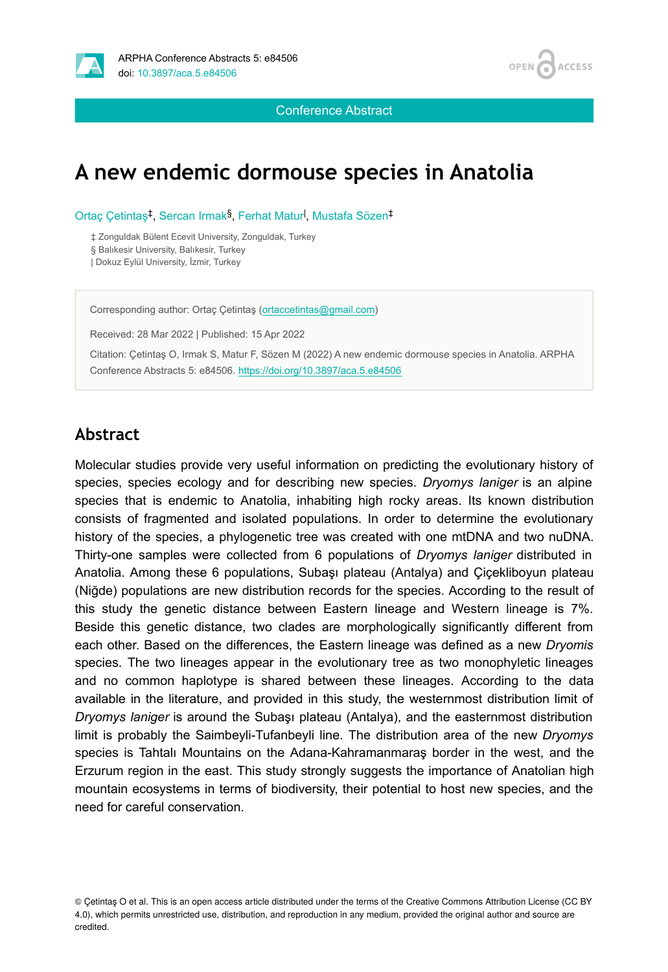



Conference Abstract

# **A new endemic dormouse species in Anatolia**

Ortaç Çetintaş<sup>‡</sup>, Sercan Irmak<sup>§</sup>, Ferhat Matur<sup>l</sup>, Mustafa Sözen<sup>‡</sup>

‡ Zonguldak Bülent Ecevit University, Zonguldak, Turkey

§ Balıkesir University, Balıkesir, Turkey

| Dokuz Eylül University, İzmir, Turkey

Corresponding author: Ortaç Çetintaş ([ortaccetintas@gmail.com](mailto:ortaccetintas@gmail.com))

Received: 28 Mar 2022 | Published: 15 Apr 2022

Citation: Çetintaş O, Irmak S, Matur F, Sözen M (2022) A new endemic dormouse species in Anatolia. ARPHA Conference Abstracts 5: e84506. <https://doi.org/10.3897/aca.5.e84506>

#### **Abstract**

Molecular studies provide very useful information on predicting the evolutionary history of species, species ecology and for describing new species. *Dryomys laniger* is an alpine species that is endemic to Anatolia, inhabiting high rocky areas. Its known distribution consists of fragmented and isolated populations. In order to determine the evolutionary history of the species, a phylogenetic tree was created with one mtDNA and two nuDNA. Thirty-one samples were collected from 6 populations of *Dryomys laniger* distributed in Anatolia. Among these 6 populations, Subaşı plateau (Antalya) and Çiçekliboyun plateau (Niğde) populations are new distribution records for the species. According to the result of this study the genetic distance between Eastern lineage and Western lineage is 7%. Beside this genetic distance, two clades are morphologically significantly different from each other. Based on the differences, the Eastern lineage was defined as a new *Dryomis* species. The two lineages appear in the evolutionary tree as two monophyletic lineages and no common haplotype is shared between these lineages. According to the data available in the literature, and provided in this study, the westernmost distribution limit of *Dryomys laniger* is around the Subaşı plateau (Antalya), and the easternmost distribution limit is probably the Saimbeyli-Tufanbeyli line. The distribution area of the new *Dryomys* species is Tahtalı Mountains on the Adana-Kahramanmaraş border in the west, and the Erzurum region in the east. This study strongly suggests the importance of Anatolian high mountain ecosystems in terms of biodiversity, their potential to host new species, and the need for careful conservation.

<sup>©</sup> Çetintaş O et al. This is an open access article distributed under the terms of the Creative Commons Attribution License (CC BY 4.0), which permits unrestricted use, distribution, and reproduction in any medium, provided the original author and source are credited.